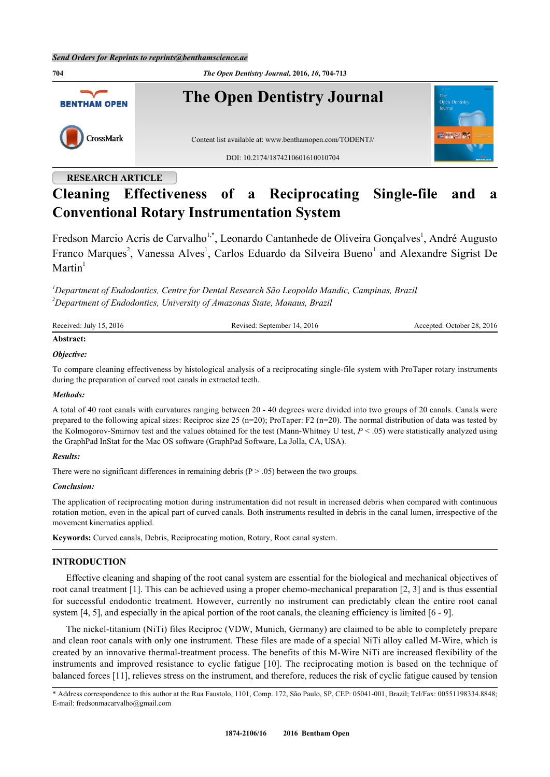

## **RESEARCH ARTICLE**

# **Cleaning Effectiveness of a Reciprocating Single-file and a Conventional Rotary Instrumentation System**

Fredson Marcio Acris de Carvalho<sup>[1](#page--1-0)[,\\*](#page-0-1)</sup>, Leonardo Cantanhede de Oliveira Gonçalves<sup>1</sup>, André Augusto Franco Marques<sup>[2](#page-0-2)</sup>, Vanessa Alves<sup>[1](#page--1-0)</sup>, Carlos Eduardo da Silveira Bueno<sup>1</sup> and Alexandre Sigrist De  $M$ artin<sup>[1](#page--1-0)</sup>

<span id="page-0-2"></span><span id="page-0-0"></span>*<sup>1</sup>Department of Endodontics, Centre for Dental Research São Leopoldo Mandic, Campinas, Brazil <sup>2</sup>Department of Endodontics, University of Amazonas State, Manaus, Brazil*

| Received: July 15, 2016 | Revised: September 14, 2016 | Accepted: October 28, 2016 |
|-------------------------|-----------------------------|----------------------------|
| Abstract:               |                             |                            |

### *Objective:*

To compare cleaning effectiveness by histological analysis of a reciprocating single-file system with ProTaper rotary instruments during the preparation of curved root canals in extracted teeth.

### *Methods:*

A total of 40 root canals with curvatures ranging between 20 - 40 degrees were divided into two groups of 20 canals. Canals were prepared to the following apical sizes: Reciproc size 25 (n=20); ProTaper: F2 (n=20). The normal distribution of data was tested by the Kolmogorov-Smirnov test and the values obtained for the test (Mann-Whitney U test, *P* < .05) were statistically analyzed using the GraphPad InStat for the Mac OS software (GraphPad Software, La Jolla, CA, USA).

### *Results:*

There were no significant differences in remaining debris  $(P > .05)$  between the two groups.

### *Conclusion:*

The application of reciprocating motion during instrumentation did not result in increased debris when compared with continuous rotation motion, even in the apical part of curved canals. Both instruments resulted in debris in the canal lumen, irrespective of the movement kinematics applied.

**Keywords:** Curved canals, Debris, Reciprocating motion, Rotary, Root canal system.

### **INTRODUCTION**

Effective cleaning and shaping of the root canal system are essential for the biological and mechanical objectives of root canal treatment [[1\]](#page-6-0). This can be achieved using a proper chemo-mechanical preparation [[2,](#page-6-1) [3\]](#page-6-2) and is thus essential for successful endodontic treatment. However, currently no instrument can predictably clean the entire root canal system [\[4](#page-7-0), [5](#page-7-1)], and especially in the apical portion of the root canals, the cleaning efficiency is limited [[6](#page-7-2) - [9](#page-7-3)].

The nickel-titanium (NiTi) files Reciproc (VDW, Munich, Germany) are claimed to be able to completely prepare and clean root canals with only one instrument. These files are made of a special NiTi alloy called M-Wire, which is created by an innovative thermal-treatment process. The benefits of this M-Wire NiTi are increased flexibility of the instruments and improved resistance to cyclic fatigue [[10](#page-7-4)]. The reciprocating motion is based on the technique of balanced forces [[11\]](#page-7-5), relieves stress on the instrument, and therefore, reduces the risk of cyclic fatigue caused by tension

<span id="page-0-1"></span>\* Address correspondence to this author at the Rua Faustolo, 1101, Comp. 172, São Paulo, SP, CEP: 05041-001, Brazil; Tel/Fax: 00551198334.8848; E-mail: [fredsonmacarvalho@gmail.com](mailto:fredsonmacarvalho@gmail.com)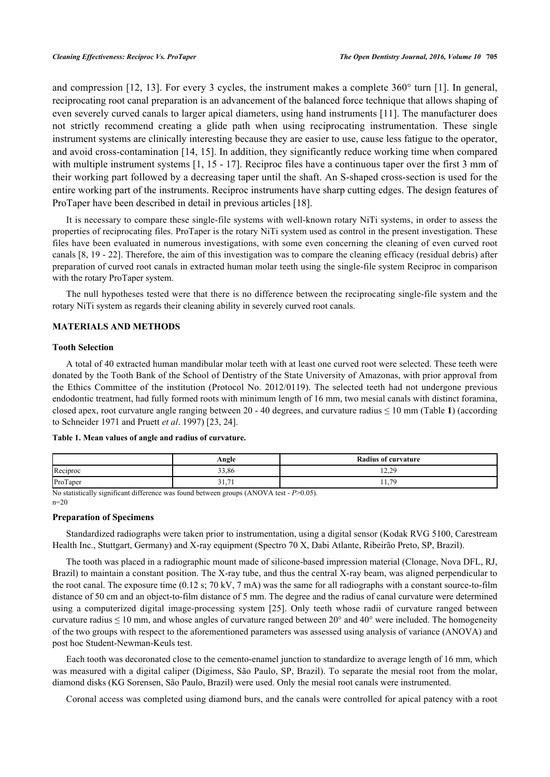and compression [\[12,](#page-7-6) [13](#page-7-7)]. For every 3 cycles, the instrument makes a complete 360° turn [\[1\]](#page-6-0). In general, reciprocating root canal preparation is an advancement of the balanced force technique that allows shaping of even severely curved canals to larger apical diameters, using hand instruments [[11](#page-7-5)]. The manufacturer does not strictly recommend creating a glide path when using reciprocating instrumentation. These single instrument systems are clinically interesting because they are easier to use, cause less fatigue to the operator, and avoid cross-contamination [\[14](#page-7-8), [15](#page-7-9)]. In addition, they significantly reduce working time when compared with multiple instrument systems [[1](#page-6-0), [15](#page-7-9) - [17\]](#page-7-10). Reciproc files have a continuous taper over the first 3 mm of their working part followed by a decreasing taper until the shaft. An S-shaped cross-section is used for the entire working part of the instruments. Reciproc instruments have sharp cutting edges. The design features of ProTaper have been described in detail in previous articles [[18\]](#page-7-11).

It is necessary to compare these single-file systems with well-known rotary NiTi systems, in order to assess the properties of reciprocating files. ProTaper is the rotary NiTi system used as control in the present investigation. These files have been evaluated in numerous investigations, with some even concerning the cleaning of even curved root canals [[8](#page-7-12), [19](#page-7-13) - [22](#page-7-14)]. Therefore, the aim of this investigation was to compare the cleaning efficacy (residual debris) after preparation of curved root canals in extracted human molar teeth using the single-file system Reciproc in comparison with the rotary ProTaper system.

The null hypotheses tested were that there is no difference between the reciprocating single-file system and the rotary NiTi system as regards their cleaning ability in severely curved root canals.

### **MATERIALS AND METHODS**

### **Tooth Selection**

A total of 40 extracted human mandibular molar teeth with at least one curved root were selected. These teeth were donated by the Tooth Bank of the School of Dentistry of the State University of Amazonas, with prior approval from the Ethics Committee of the institution (Protocol No. 2012/0119). The selected teeth had not undergone previous endodontic treatment, had fully formed roots with minimum length of 16 mm, two mesial canals with distinct foramina, closed apex, root curvature angle ranging between  $20 - 40$  degrees, and curvature radius  $\leq 10$  $\leq 10$  $\leq 10$  mm (Table 1) (according to Schneider 1971 and Pruett *et al*. 1997) [[23,](#page-7-15) [24\]](#page-8-0).

### <span id="page-1-0"></span>**Table 1. Mean values of angle and radius of curvature.**

|          | Angle                                         | <b>Radius of curvature</b> |
|----------|-----------------------------------------------|----------------------------|
| Reciproc | 33,86                                         | າ າດ<br>ر کے کہا           |
| ProTaper | 21<br>$\overline{\phantom{0}}$<br>31.7<br>. . | 70<br>11.1                 |

No statistically significant difference was found between groups (ANOVA test - *P*>0.05). n=20

### **Preparation of Specimens**

Standardized radiographs were taken prior to instrumentation, using a digital sensor (Kodak RVG 5100, Carestream Health Inc., Stuttgart, Germany) and X-ray equipment (Spectro 70 X, Dabi Atlante, Ribeirão Preto, SP, Brazil).

The tooth was placed in a radiographic mount made of silicone-based impression material (Clonage, Nova DFL, RJ, Brazil) to maintain a constant position. The X-ray tube, and thus the central X-ray beam, was aligned perpendicular to the root canal. The exposure time (0.12 s; 70 kV, 7 mA) was the same for all radiographs with a constant source-to-film distance of 50 cm and an object-to-film distance of 5 mm. The degree and the radius of canal curvature were determined using a computerized digital image-processing system[[25\]](#page-8-1). Only teeth whose radii of curvature ranged between curvature radius  $\leq 10$  mm, and whose angles of curvature ranged between 20 $^{\circ}$  and 40 $^{\circ}$  were included. The homogeneity of the two groups with respect to the aforementioned parameters was assessed using analysis of variance (ANOVA) and post hoc Student-Newman-Keuls test.

Each tooth was decoronated close to the cemento-enamel junction to standardize to average length of 16 mm, which was measured with a digital caliper (Digimess, São Paulo, SP, Brazil). To separate the mesial root from the molar, diamond disks (KG Sorensen, São Paulo, Brazil) were used. Only the mesial root canals were instrumented.

Coronal access was completed using diamond burs, and the canals were controlled for apical patency with a root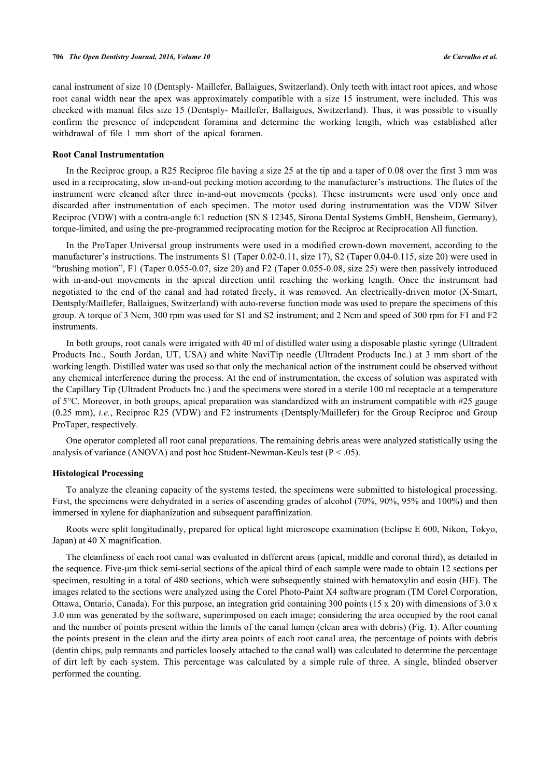canal instrument of size 10 (Dentsply- Maillefer, Ballaigues, Switzerland). Only teeth with intact root apices, and whose root canal width near the apex was approximately compatible with a size 15 instrument, were included. This was checked with manual files size 15 (Dentsply- Maillefer, Ballaigues, Switzerland). Thus, it was possible to visually confirm the presence of independent foramina and determine the working length, which was established after withdrawal of file 1 mm short of the apical foramen.

### **Root Canal Instrumentation**

In the Reciproc group, a R25 Reciproc file having a size 25 at the tip and a taper of 0.08 over the first 3 mm was used in a reciprocating, slow in-and-out pecking motion according to the manufacturer's instructions. The flutes of the instrument were cleaned after three in-and-out movements (pecks). These instruments were used only once and discarded after instrumentation of each specimen. The motor used during instrumentation was the VDW Silver Reciproc (VDW) with a contra-angle 6:1 reduction (SN S 12345, Sirona Dental Systems GmbH, Bensheim, Germany), torque-limited, and using the pre-programmed reciprocating motion for the Reciproc at Reciprocation All function.

In the ProTaper Universal group instruments were used in a modified crown-down movement, according to the manufacturer's instructions. The instruments S1 (Taper 0.02-0.11, size 17), S2 (Taper 0.04-0.115, size 20) were used in "brushing motion", F1 (Taper 0.055-0.07, size 20) and F2 (Taper 0.055-0.08, size 25) were then passively introduced with in-and-out movements in the apical direction until reaching the working length. Once the instrument had negotiated to the end of the canal and had rotated freely, it was removed. An electrically-driven motor (X-Smart, Dentsply/Maillefer, Ballaigues, Switzerland) with auto-reverse function mode was used to prepare the specimens of this group. A torque of 3 Ncm, 300 rpm was used for S1 and S2 instrument; and 2 Ncm and speed of 300 rpm for F1 and F2 instruments.

In both groups, root canals were irrigated with 40 ml of distilled water using a disposable plastic syringe (Ultradent Products Inc., South Jordan, UT, USA) and white NaviTip needle (Ultradent Products Inc.) at 3 mm short of the working length. Distilled water was used so that only the mechanical action of the instrument could be observed without any chemical interference during the process. At the end of instrumentation, the excess of solution was aspirated with the Capillary Tip (Ultradent Products Inc.) and the specimens were stored in a sterile 100 ml receptacle at a temperature of 5°C. Moreover, in both groups, apical preparation was standardized with an instrument compatible with #25 gauge (0.25 mm), *i.e.*, Reciproc R25 (VDW) and F2 instruments (Dentsply/Maillefer) for the Group Reciproc and Group ProTaper, respectively.

One operator completed all root canal preparations. The remaining debris areas were analyzed statistically using the analysis of variance (ANOVA) and post hoc Student-Newman-Keuls test ( $P < .05$ ).

### **Histological Processing**

To analyze the cleaning capacity of the systems tested, the specimens were submitted to histological processing. First, the specimens were dehydrated in a series of ascending grades of alcohol (70%, 90%, 95% and 100%) and then immersed in xylene for diaphanization and subsequent paraffinization.

Roots were split longitudinally, prepared for optical light microscope examination (Eclipse E 600, Nikon, Tokyo, Japan) at 40 X magnification.

<span id="page-2-0"></span>The cleanliness of each root canal was evaluated in different areas (apical, middle and coronal third), as detailed in the sequence. Five-μm thick semi-serial sections of the apical third of each sample were made to obtain 12 sections per specimen, resulting in a total of 480 sections, which were subsequently stained with hematoxylin and eosin (HE). The images related to the sections were analyzed using the Corel Photo-Paint X4 software program (TM Corel Corporation, Ottawa, Ontario, Canada). For this purpose, an integration grid containing 300 points (15 x 20) with dimensions of 3.0 x 3.0 mm was generated by the software, superimposed on each image; considering the area occupied by the root canal and the number of points present within the limits of the canal lumen (clean area with debris) (Fig. **[1](#page-2-0)**). After counting the points present in the clean and the dirty area points of each root canal area, the percentage of points with debris (dentin chips, pulp remnants and particles loosely attached to the canal wall) was calculated to determine the percentage of dirt left by each system. This percentage was calculated by a simple rule of three. A single, blinded observer performed the counting.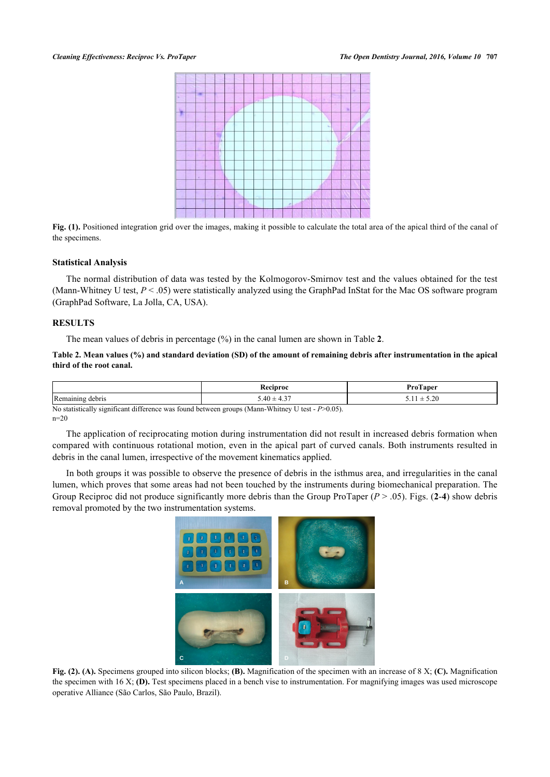

Fig. (1). Positioned integration grid over the images, making it possible to calculate the total area of the apical third of the canal of the specimens.

### **Statistical Analysis**

The normal distribution of data was tested by the Kolmogorov-Smirnov test and the values obtained for the test (Mann-Whitney U test,  $P < 0.05$ ) were statistically analyzed using the GraphPad InStat for the Mac OS software program (GraphPad Software, La Jolla, CA, USA).

### **RESULTS**

The mean values of debris in percentage (%) in the canal lumen are shown in Table **[2](#page-3-0)**.

<span id="page-3-0"></span>**Table 2. Mean values (%) and standard deviation (SD) of the amount of remaining debris after instrumentation in the apical third of the root canal.**

|                     | eciproc                  | $P_{\text{roTaper}}$             |
|---------------------|--------------------------|----------------------------------|
| Remaining<br>debris | $-25$<br>$3.40 \pm 4.37$ | $\sim$<br>-<br>J.LU<br>—<br>1.11 |

No statistically significant difference was found between groups (Mann-Whitney U test - *P*>0.05).  $n=20$ 

The application of reciprocating motion during instrumentation did not result in increased debris formation when compared with continuous rotational motion, even in the apical part of curved canals. Both instruments resulted in debris in the canal lumen, irrespective of the movement kinematics applied.

In both groups it was possible to observe the presence of debris in the isthmus area, and irregularities in the canal lumen, which proves that some areas had not been touched by the instruments during biomechanical preparation. The Group Reciproc did not produce significantly more debris than the Group ProTaper (*P* > .05). Figs. (**[2](#page-3-1)**-**[4](#page-2-0)**) show debris removal promoted by the two instrumentation systems.

<span id="page-3-1"></span>

**Fig. (2). (A).** Specimens grouped into silicon blocks; **(B).** Magnification of the specimen with an increase of 8 X; **(C).** Magnification the specimen with 16 X; **(D).** Test specimens placed in a bench vise to instrumentation. For magnifying images was used microscope operative Alliance (São Carlos, São Paulo, Brazil).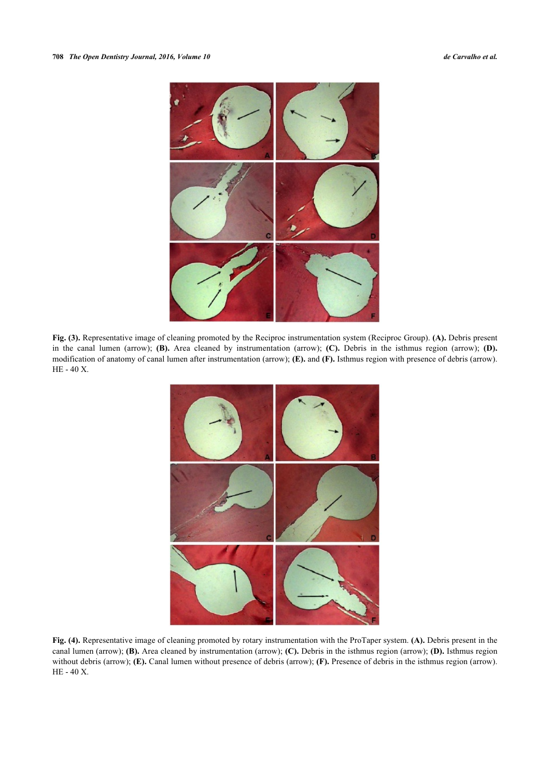

**Fig. (3).** Representative image of cleaning promoted by the Reciproc instrumentation system (Reciproc Group). **(A).** Debris present in the canal lumen (arrow); **(B).** Area cleaned by instrumentation (arrow); **(C).** Debris in the isthmus region (arrow); **(D).** modification of anatomy of canal lumen after instrumentation (arrow); **(E).** and **(F).** Isthmus region with presence of debris (arrow). HE - 40 X.



**Fig. (4).** Representative image of cleaning promoted by rotary instrumentation with the ProTaper system. **(A).** Debris present in the canal lumen (arrow); **(B).** Area cleaned by instrumentation (arrow); **(C).** Debris in the isthmus region (arrow); **(D).** Isthmus region without debris (arrow); **(E).** Canal lumen without presence of debris (arrow); **(F).** Presence of debris in the isthmus region (arrow). HE - 40 X.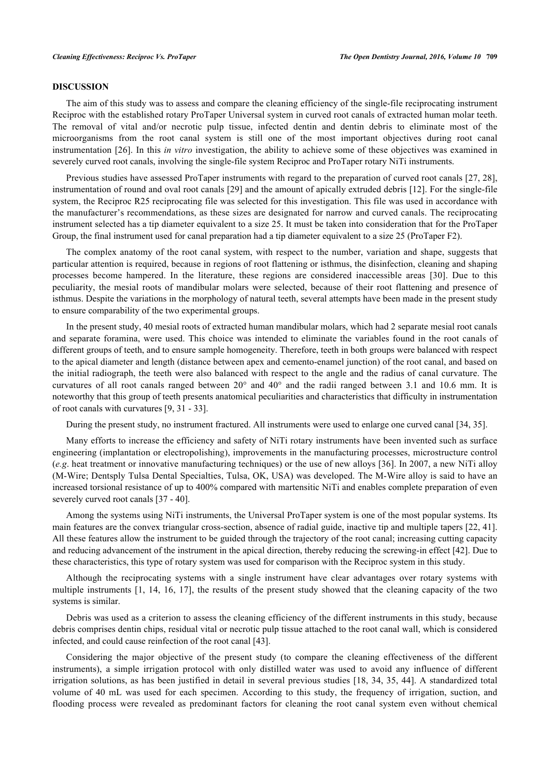### **DISCUSSION**

The aim of this study was to assess and compare the cleaning efficiency of the single-file reciprocating instrument Reciproc with the established rotary ProTaper Universal system in curved root canals of extracted human molar teeth. The removal of vital and/or necrotic pulp tissue, infected dentin and dentin debris to eliminate most of the microorganisms from the root canal system is still one of the most important objectives during root canal instrumentation [[26\]](#page-8-2). In this *in vitro* investigation, the ability to achieve some of these objectives was examined in severely curved root canals, involving the single-file system Reciproc and ProTaper rotary NiTi instruments.

Previous studies have assessed ProTaper instruments with regard to the preparation of curved root canals [\[27](#page-8-3), [28\]](#page-8-4), instrumentation of round and oval root canals [\[29](#page-8-5)] and the amount of apically extruded debris [[12\]](#page-7-6). For the single-file system, the Reciproc R25 reciprocating file was selected for this investigation. This file was used in accordance with the manufacturer's recommendations, as these sizes are designated for narrow and curved canals. The reciprocating instrument selected has a tip diameter equivalent to a size 25. It must be taken into consideration that for the ProTaper Group, the final instrument used for canal preparation had a tip diameter equivalent to a size 25 (ProTaper F2).

The complex anatomy of the root canal system, with respect to the number, variation and shape, suggests that particular attention is required, because in regions of root flattening or isthmus, the disinfection, cleaning and shaping processes become hampered. In the literature, these regions are considered inaccessible areas[[30\]](#page-8-6). Due to this peculiarity, the mesial roots of mandibular molars were selected, because of their root flattening and presence of isthmus. Despite the variations in the morphology of natural teeth, several attempts have been made in the present study to ensure comparability of the two experimental groups.

In the present study, 40 mesial roots of extracted human mandibular molars, which had 2 separate mesial root canals and separate foramina, were used. This choice was intended to eliminate the variables found in the root canals of different groups of teeth, and to ensure sample homogeneity. Therefore, teeth in both groups were balanced with respect to the apical diameter and length (distance between apex and cemento-enamel junction) of the root canal, and based on the initial radiograph, the teeth were also balanced with respect to the angle and the radius of canal curvature. The curvatures of all root canals ranged between 20° and 40° and the radii ranged between 3.1 and 10.6 mm. It is noteworthy that this group of teeth presents anatomical peculiarities and characteristics that difficulty in instrumentation of root canals with curvatures [\[9](#page-7-3), [31](#page-8-7) - [33\]](#page-8-8).

During the present study, no instrument fractured. All instruments were used to enlarge one curved canal [\[34](#page-8-9), [35](#page-8-10)].

Many efforts to increase the efficiency and safety of NiTi rotary instruments have been invented such as surface engineering (implantation or electropolishing), improvements in the manufacturing processes, microstructure control (*e.g*. heat treatment or innovative manufacturing techniques) or the use of new alloys [[36](#page-8-11)]. In 2007, a new NiTi alloy (M-Wire; Dentsply Tulsa Dental Specialties, Tulsa, OK, USA) was developed. The M-Wire alloy is said to have an increased torsional resistance of up to 400% compared with martensitic NiTi and enables complete preparation of even severely curved root canals [[37](#page-8-12) - [40\]](#page-8-13).

Among the systems using NiTi instruments, the Universal ProTaper system is one of the most popular systems. Its main features are the convex triangular cross-section, absence of radial guide, inactive tip and multiple tapers [\[22](#page-7-14), [41\]](#page-8-14). All these features allow the instrument to be guided through the trajectory of the root canal; increasing cutting capacity and reducing advancement of the instrument in the apical direction, thereby reducing the screwing-in effect [\[42](#page-8-15)]. Due to these characteristics, this type of rotary system was used for comparison with the Reciproc system in this study.

Although the reciprocating systems with a single instrument have clear advantages over rotary systems with multiple instruments [\[1,](#page-6-0) [14](#page-7-8), [16,](#page-7-16) [17](#page-7-10)], the results of the present study showed that the cleaning capacity of the two systems is similar.

Debris was used as a criterion to assess the cleaning efficiency of the different instruments in this study, because debris comprises dentin chips, residual vital or necrotic pulp tissue attached to the root canal wall, which is considered infected, and could cause reinfection of the root canal [\[43](#page-8-16)].

Considering the major objective of the present study (to compare the cleaning effectiveness of the different instruments), a simple irrigation protocol with only distilled water was used to avoid any influence of different irrigation solutions, as has been justified in detail in several previous studies [[18](#page-7-11), [34](#page-8-9), [35,](#page-8-10) [44\]](#page-9-0). A standardized total volume of 40 mL was used for each specimen. According to this study, the frequency of irrigation, suction, and flooding process were revealed as predominant factors for cleaning the root canal system even without chemical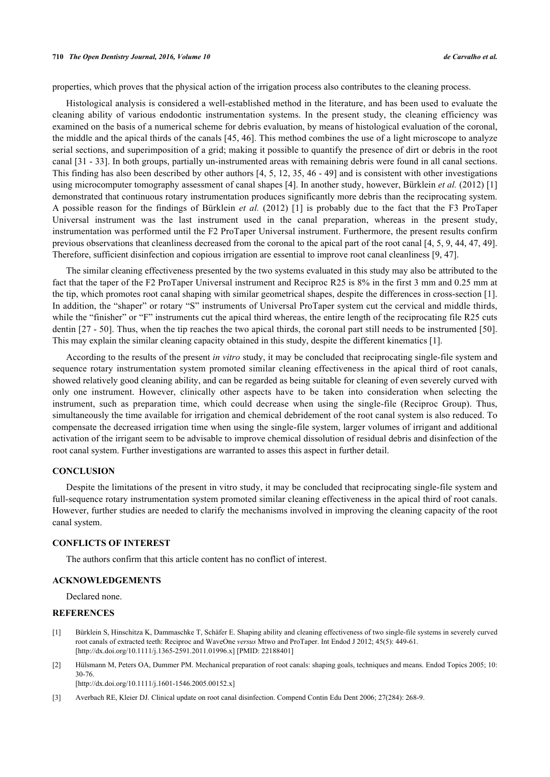properties, which proves that the physical action of the irrigation process also contributes to the cleaning process.

Histological analysis is considered a well-established method in the literature, and has been used to evaluate the cleaning ability of various endodontic instrumentation systems. In the present study, the cleaning efficiency was examined on the basis of a numerical scheme for debris evaluation, by means of histological evaluation of the coronal, the middle and the apical thirds of the canals [\[45](#page-9-1), [46\]](#page-9-2). This method combines the use of a light microscope to analyze serial sections, and superimposition of a grid; making it possible to quantify the presence of dirt or debris in the root canal [\[31](#page-8-7) - [33](#page-8-8)]. In both groups, partially un-instrumented areas with remaining debris were found in all canal sections. This finding has also been described by other authors [[4,](#page-7-0) [5](#page-7-1), [12,](#page-7-6) [35](#page-8-10), [46](#page-9-2) - [49](#page-9-3)] and is consistent with other investigations using microcomputer tomography assessment of canal shapes [\[4](#page-7-0)]. In another study, however, Bürklein *et al.* (2012) [\[1](#page-6-0)] demonstrated that continuous rotary instrumentation produces significantly more debris than the reciprocating system. A possible reason for the findings of Bürklein *et al.* (2012)[[1\]](#page-6-0) is probably due to the fact that the F3 ProTaper Universal instrument was the last instrument used in the canal preparation, whereas in the present study, instrumentation was performed until the F2 ProTaper Universal instrument. Furthermore, the present results confirm previous observations that cleanliness decreased from the coronal to the apical part of the root canal [[4,](#page-7-0) [5,](#page-7-1) [9,](#page-7-3) [44,](#page-9-0) [47,](#page-9-4) [49\]](#page-9-3). Therefore, sufficient disinfection and copious irrigation are essential to improve root canal cleanliness [\[9](#page-7-3), [47](#page-9-4)].

The similar cleaning effectiveness presented by the two systems evaluated in this study may also be attributed to the fact that the taper of the F2 ProTaper Universal instrument and Reciproc R25 is 8% in the first 3 mm and 0.25 mm at the tip, which promotes root canal shaping with similar geometrical shapes, despite the differences in cross-section [[1\]](#page-6-0). In addition, the "shaper" or rotary "S" instruments of Universal ProTaper system cut the cervical and middle thirds, while the "finisher" or "F" instruments cut the apical third whereas, the entire length of the reciprocating file R25 cuts dentin [\[27](#page-8-3) - [50\]](#page-9-5). Thus, when the tip reaches the two apical thirds, the coronal part still needs to be instrumented [\[50\]](#page-9-5). This may explain the similar cleaning capacity obtained in this study, despite the different kinematics [\[1](#page-6-0)].

According to the results of the present *in vitro* study, it may be concluded that reciprocating single-file system and sequence rotary instrumentation system promoted similar cleaning effectiveness in the apical third of root canals, showed relatively good cleaning ability, and can be regarded as being suitable for cleaning of even severely curved with only one instrument. However, clinically other aspects have to be taken into consideration when selecting the instrument, such as preparation time, which could decrease when using the single-file (Reciproc Group). Thus, simultaneously the time available for irrigation and chemical debridement of the root canal system is also reduced. To compensate the decreased irrigation time when using the single-file system, larger volumes of irrigant and additional activation of the irrigant seem to be advisable to improve chemical dissolution of residual debris and disinfection of the root canal system. Further investigations are warranted to asses this aspect in further detail.

### **CONCLUSION**

Despite the limitations of the present in vitro study, it may be concluded that reciprocating single-file system and full-sequence rotary instrumentation system promoted similar cleaning effectiveness in the apical third of root canals. However, further studies are needed to clarify the mechanisms involved in improving the cleaning capacity of the root canal system.

### **CONFLICTS OF INTEREST**

The authors confirm that this article content has no conflict of interest.

### **ACKNOWLEDGEMENTS**

Declared none.

### **REFERENCES**

- <span id="page-6-0"></span>[1] Bürklein S, Hinschitza K, Dammaschke T, Schäfer E. Shaping ability and cleaning effectiveness of two single-file systems in severely curved root canals of extracted teeth: Reciproc and WaveOne *versus* Mtwo and ProTaper. Int Endod J 2012; 45(5): 449-61. [\[http://dx.doi.org/10.1111/j.1365-2591.2011.01996.x\]](http://dx.doi.org/10.1111/j.1365-2591.2011.01996.x) [PMID: [22188401](http://www.ncbi.nlm.nih.gov/pubmed/22188401)]
- <span id="page-6-1"></span>[2] Hülsmann M, Peters OA, Dummer PM. Mechanical preparation of root canals: shaping goals, techniques and means. Endod Topics 2005; 10: 30-76.

[\[http://dx.doi.org/10.1111/j.1601-1546.2005.00152.x\]](http://dx.doi.org/10.1111/j.1601-1546.2005.00152.x)

<span id="page-6-2"></span>[3] Averbach RE, Kleier DJ. Clinical update on root canal disinfection. Compend Contin Edu Dent 2006; 27(284): 268-9.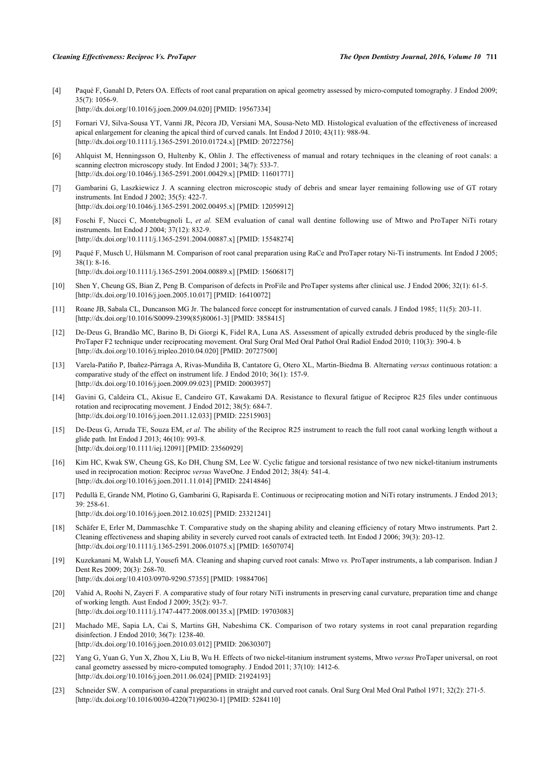<span id="page-7-0"></span>[4] Paqué F, Ganahl D, Peters OA. Effects of root canal preparation on apical geometry assessed by micro-computed tomography. J Endod 2009;  $35(7)$ : 1056-9. [\[http://dx.doi.org/10.1016/j.joen.2009.04.020\]](http://dx.doi.org/10.1016/j.joen.2009.04.020) [PMID: [19567334](http://www.ncbi.nlm.nih.gov/pubmed/19567334)]

<span id="page-7-1"></span>[5] Fornari VJ, Silva-Sousa YT, Vanni JR, Pécora JD, Versiani MA, Sousa-Neto MD. Histological evaluation of the effectiveness of increased apical enlargement for cleaning the apical third of curved canals. Int Endod J 2010; 43(11): 988-94. [\[http://dx.doi.org/10.1111/j.1365-2591.2010.01724.x\]](http://dx.doi.org/10.1111/j.1365-2591.2010.01724.x) [PMID: [20722756](http://www.ncbi.nlm.nih.gov/pubmed/20722756)]

- <span id="page-7-2"></span>[6] Ahlquist M, Henningsson O, Hultenby K, Ohlin J. The effectiveness of manual and rotary techniques in the cleaning of root canals: a scanning electron microscopy study. Int Endod J 2001; 34(7): 533-7. [\[http://dx.doi.org/10.1046/j.1365-2591.2001.00429.x\]](http://dx.doi.org/10.1046/j.1365-2591.2001.00429.x) [PMID: [11601771](http://www.ncbi.nlm.nih.gov/pubmed/11601771)]
- [7] Gambarini G, Laszkiewicz J. A scanning electron microscopic study of debris and smear layer remaining following use of GT rotary instruments. Int Endod J 2002; 35(5): 422-7. [\[http://dx.doi.org/10.1046/j.1365-2591.2002.00495.x\]](http://dx.doi.org/10.1046/j.1365-2591.2002.00495.x) [PMID: [12059912](http://www.ncbi.nlm.nih.gov/pubmed/12059912)]
- <span id="page-7-12"></span>[8] Foschi F, Nucci C, Montebugnoli L, *et al.* SEM evaluation of canal wall dentine following use of Mtwo and ProTaper NiTi rotary instruments. Int Endod J 2004; 37(12): 832-9. [\[http://dx.doi.org/10.1111/j.1365-2591.2004.00887.x\]](http://dx.doi.org/10.1111/j.1365-2591.2004.00887.x) [PMID: [15548274](http://www.ncbi.nlm.nih.gov/pubmed/15548274)]
- <span id="page-7-3"></span>[9] Paqué F, Musch U, Hülsmann M. Comparison of root canal preparation using RaCe and ProTaper rotary Ni-Ti instruments. Int Endod J 2005;  $38(1) \cdot 8 - 16$ [\[http://dx.doi.org/10.1111/j.1365-2591.2004.00889.x\]](http://dx.doi.org/10.1111/j.1365-2591.2004.00889.x) [PMID: [15606817](http://www.ncbi.nlm.nih.gov/pubmed/15606817)]
- <span id="page-7-4"></span>[10] Shen Y, Cheung GS, Bian Z, Peng B. Comparison of defects in ProFile and ProTaper systems after clinical use. J Endod 2006; 32(1): 61-5. [\[http://dx.doi.org/10.1016/j.joen.2005.10.017\]](http://dx.doi.org/10.1016/j.joen.2005.10.017) [PMID: [16410072](http://www.ncbi.nlm.nih.gov/pubmed/16410072)]
- <span id="page-7-5"></span>[11] Roane JB, Sabala CL, Duncanson MG Jr. The balanced force concept for instrumentation of curved canals. J Endod 1985; 11(5): 203-11. [\[http://dx.doi.org/10.1016/S0099-2399\(85\)80061-3\]](http://dx.doi.org/10.1016/S0099-2399(85)80061-3) [PMID: [3858415](http://www.ncbi.nlm.nih.gov/pubmed/3858415)]
- <span id="page-7-6"></span>[12] De-Deus G, Brandão MC, Barino B, Di Giorgi K, Fidel RA, Luna AS. Assessment of apically extruded debris produced by the single-file ProTaper F2 technique under reciprocating movement. Oral Surg Oral Med Oral Pathol Oral Radiol Endod 2010; 110(3): 390-4. b [\[http://dx.doi.org/10.1016/j.tripleo.2010.04.020\]](http://dx.doi.org/10.1016/j.tripleo.2010.04.020) [PMID: [20727500](http://www.ncbi.nlm.nih.gov/pubmed/20727500)]
- <span id="page-7-7"></span>[13] Varela-Patiño P, Ibañez-Párraga A, Rivas-Mundiña B, Cantatore G, Otero XL, Martin-Biedma B. Alternating *versus* continuous rotation: a comparative study of the effect on instrument life. J Endod 2010; 36(1): 157-9. [\[http://dx.doi.org/10.1016/j.joen.2009.09.023\]](http://dx.doi.org/10.1016/j.joen.2009.09.023) [PMID: [20003957](http://www.ncbi.nlm.nih.gov/pubmed/20003957)]
- <span id="page-7-8"></span>[14] Gavini G, Caldeira CL, Akisue E, Candeiro GT, Kawakami DA. Resistance to flexural fatigue of Reciproc R25 files under continuous rotation and reciprocating movement. J Endod 2012; 38(5): 684-7. [\[http://dx.doi.org/10.1016/j.joen.2011.12.033\]](http://dx.doi.org/10.1016/j.joen.2011.12.033) [PMID: [22515903](http://www.ncbi.nlm.nih.gov/pubmed/22515903)]
- <span id="page-7-9"></span>[15] De-Deus G, Arruda TE, Souza EM, *et al.* The ability of the Reciproc R25 instrument to reach the full root canal working length without a glide path. Int Endod J 2013; 46(10): 993-8. [\[http://dx.doi.org/10.1111/iej.12091\]](http://dx.doi.org/10.1111/iej.12091) [PMID: [23560929](http://www.ncbi.nlm.nih.gov/pubmed/23560929)]
- <span id="page-7-16"></span>[16] Kim HC, Kwak SW, Cheung GS, Ko DH, Chung SM, Lee W. Cyclic fatigue and torsional resistance of two new nickel-titanium instruments used in reciprocation motion: Reciproc *versus* WaveOne. J Endod 2012; 38(4): 541-4. [\[http://dx.doi.org/10.1016/j.joen.2011.11.014\]](http://dx.doi.org/10.1016/j.joen.2011.11.014) [PMID: [22414846](http://www.ncbi.nlm.nih.gov/pubmed/22414846)]
- <span id="page-7-10"></span>[17] Pedullà E, Grande NM, Plotino G, Gambarini G, Rapisarda E. Continuous or reciprocating motion and NiTi rotary instruments. J Endod 2013; 39: 258-61. [\[http://dx.doi.org/10.1016/j.joen.2012.10.025\]](http://dx.doi.org/10.1016/j.joen.2012.10.025) [PMID: [23321241](http://www.ncbi.nlm.nih.gov/pubmed/23321241)]
- <span id="page-7-11"></span>[18] Schäfer E, Erler M, Dammaschke T. Comparative study on the shaping ability and cleaning efficiency of rotary Mtwo instruments. Part 2. Cleaning effectiveness and shaping ability in severely curved root canals of extracted teeth. Int Endod J 2006; 39(3): 203-12. [\[http://dx.doi.org/10.1111/j.1365-2591.2006.01075.x\]](http://dx.doi.org/10.1111/j.1365-2591.2006.01075.x) [PMID: [16507074](http://www.ncbi.nlm.nih.gov/pubmed/16507074)]
- <span id="page-7-13"></span>[19] Kuzekanani M, Walsh LJ, Yousefi MA. Cleaning and shaping curved root canals: Mtwo *vs.* ProTaper instruments, a lab comparison. Indian J Dent Res 2009; 20(3): 268-70. [\[http://dx.doi.org/10.4103/0970-9290.57355](http://dx.doi.org/10.4103/0970-9290.57355)] [PMID: [19884706](http://www.ncbi.nlm.nih.gov/pubmed/19884706)]
- [20] Vahid A, Roohi N, Zayeri F. A comparative study of four rotary NiTi instruments in preserving canal curvature, preparation time and change of working length. Aust Endod J 2009; 35(2): 93-7. [\[http://dx.doi.org/10.1111/j.1747-4477.2008.00135.x\]](http://dx.doi.org/10.1111/j.1747-4477.2008.00135.x) [PMID: [19703083](http://www.ncbi.nlm.nih.gov/pubmed/19703083)]
- [21] Machado ME, Sapia LA, Cai S, Martins GH, Nabeshima CK. Comparison of two rotary systems in root canal preparation regarding disinfection. J Endod 2010; 36(7): 1238-40. [\[http://dx.doi.org/10.1016/j.joen.2010.03.012\]](http://dx.doi.org/10.1016/j.joen.2010.03.012) [PMID: [20630307](http://www.ncbi.nlm.nih.gov/pubmed/20630307)]
- <span id="page-7-14"></span>[22] Yang G, Yuan G, Yun X, Zhou X, Liu B, Wu H. Effects of two nickel-titanium instrument systems, Mtwo *versus* ProTaper universal, on root canal geometry assessed by micro-computed tomography. J Endod 2011; 37(10): 1412-6. [\[http://dx.doi.org/10.1016/j.joen.2011.06.024\]](http://dx.doi.org/10.1016/j.joen.2011.06.024) [PMID: [21924193](http://www.ncbi.nlm.nih.gov/pubmed/21924193)]
- <span id="page-7-15"></span>[23] Schneider SW. A comparison of canal preparations in straight and curved root canals. Oral Surg Oral Med Oral Pathol 1971; 32(2): 271-5. [\[http://dx.doi.org/10.1016/0030-4220\(71\)90230-1](http://dx.doi.org/10.1016/0030-4220(71)90230-1)] [PMID: [5284110](http://www.ncbi.nlm.nih.gov/pubmed/5284110)]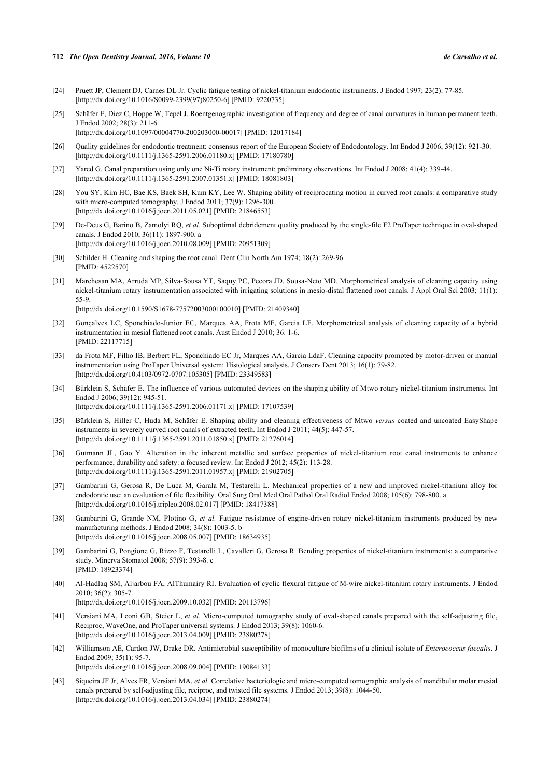### **712** *The Open Dentistry Journal, 2016, Volume 10 de Carvalho et al.*

- <span id="page-8-0"></span>[24] Pruett JP, Clement DJ, Carnes DL Jr. Cyclic fatigue testing of nickel-titanium endodontic instruments. J Endod 1997; 23(2): 77-85. [\[http://dx.doi.org/10.1016/S0099-2399\(97\)80250-6\]](http://dx.doi.org/10.1016/S0099-2399(97)80250-6) [PMID: [9220735](http://www.ncbi.nlm.nih.gov/pubmed/9220735)]
- <span id="page-8-1"></span>[25] Schäfer E, Diez C, Hoppe W, Tepel J. Roentgenographic investigation of frequency and degree of canal curvatures in human permanent teeth. J Endod 2002; 28(3): 211-6. [\[http://dx.doi.org/10.1097/00004770-200203000-00017](http://dx.doi.org/10.1097/00004770-200203000-00017)] [PMID: [12017184\]](http://www.ncbi.nlm.nih.gov/pubmed/12017184)
- <span id="page-8-2"></span>[26] Quality guidelines for endodontic treatment: consensus report of the European Society of Endodontology. Int Endod J 2006; 39(12): 921-30.
- [\[http://dx.doi.org/10.1111/j.1365-2591.2006.01180.x\]](http://dx.doi.org/10.1111/j.1365-2591.2006.01180.x) [PMID: [17180780](http://www.ncbi.nlm.nih.gov/pubmed/17180780)]
- <span id="page-8-3"></span>[27] Yared G. Canal preparation using only one Ni-Ti rotary instrument: preliminary observations. Int Endod J 2008; 41(4): 339-44. [\[http://dx.doi.org/10.1111/j.1365-2591.2007.01351.x\]](http://dx.doi.org/10.1111/j.1365-2591.2007.01351.x) [PMID: [18081803](http://www.ncbi.nlm.nih.gov/pubmed/18081803)]
- <span id="page-8-4"></span>[28] You SY, Kim HC, Bae KS, Baek SH, Kum KY, Lee W. Shaping ability of reciprocating motion in curved root canals: a comparative study with micro-computed tomography. J Endod 2011; 37(9): 1296-300. [\[http://dx.doi.org/10.1016/j.joen.2011.05.021\]](http://dx.doi.org/10.1016/j.joen.2011.05.021) [PMID: [21846553](http://www.ncbi.nlm.nih.gov/pubmed/21846553)]
- <span id="page-8-5"></span>[29] De-Deus G, Barino B, Zamolyi RQ, *et al.* Suboptimal debridement quality produced by the single-file F2 ProTaper technique in oval-shaped canals. J Endod 2010; 36(11): 1897-900. a [\[http://dx.doi.org/10.1016/j.joen.2010.08.009\]](http://dx.doi.org/10.1016/j.joen.2010.08.009) [PMID: [20951309](http://www.ncbi.nlm.nih.gov/pubmed/20951309)]
- <span id="page-8-6"></span>[30] Schilder H. Cleaning and shaping the root canal. Dent Clin North Am 1974; 18(2): 269-96. [PMID: [4522570\]](http://www.ncbi.nlm.nih.gov/pubmed/4522570)
- <span id="page-8-7"></span>[31] Marchesan MA, Arruda MP, Silva-Sousa YT, Saquy PC, Pecora JD, Sousa-Neto MD. Morphometrical analysis of cleaning capacity using nickel-titanium rotary instrumentation associated with irrigating solutions in mesio-distal flattened root canals. J Appl Oral Sci 2003; 11(1): 55-9.

[\[http://dx.doi.org/10.1590/S1678-77572003000100010\]](http://dx.doi.org/10.1590/S1678-77572003000100010) [PMID: [21409340](http://www.ncbi.nlm.nih.gov/pubmed/21409340)]

- [32] Gonçalves LC, Sponchiado-Junior EC, Marques AA, Frota MF, Garcia LF. Morphometrical analysis of cleaning capacity of a hybrid instrumentation in mesial flattened root canals. Aust Endod J 2010; 36: 1-6. [PMID: [22117715\]](http://www.ncbi.nlm.nih.gov/pubmed/22117715)
- <span id="page-8-8"></span>[33] da Frota MF, Filho IB, Berbert FL, Sponchiado EC Jr, Marques AA, Garcia LdaF. Cleaning capacity promoted by motor-driven or manual instrumentation using ProTaper Universal system: Histological analysis. J Conserv Dent 2013; 16(1): 79-82. [\[http://dx.doi.org/10.4103/0972-0707.105305](http://dx.doi.org/10.4103/0972-0707.105305)] [PMID: [23349583](http://www.ncbi.nlm.nih.gov/pubmed/23349583)]
- <span id="page-8-9"></span>[34] Bürklein S, Schäfer E. The influence of various automated devices on the shaping ability of Mtwo rotary nickel-titanium instruments. Int Endod J 2006; 39(12): 945-51. [\[http://dx.doi.org/10.1111/j.1365-2591.2006.01171.x\]](http://dx.doi.org/10.1111/j.1365-2591.2006.01171.x) [PMID: [17107539](http://www.ncbi.nlm.nih.gov/pubmed/17107539)]
- <span id="page-8-10"></span>[35] Bürklein S, Hiller C, Huda M, Schäfer E. Shaping ability and cleaning effectiveness of Mtwo *versus* coated and uncoated EasyShape instruments in severely curved root canals of extracted teeth. Int Endod J 2011; 44(5): 447-57. [\[http://dx.doi.org/10.1111/j.1365-2591.2011.01850.x\]](http://dx.doi.org/10.1111/j.1365-2591.2011.01850.x) [PMID: [21276014](http://www.ncbi.nlm.nih.gov/pubmed/21276014)]
- <span id="page-8-11"></span>[36] Gutmann JL, Gao Y. Alteration in the inherent metallic and surface properties of nickel-titanium root canal instruments to enhance performance, durability and safety: a focused review. Int Endod J 2012; 45(2): 113-28. [\[http://dx.doi.org/10.1111/j.1365-2591.2011.01957.x\]](http://dx.doi.org/10.1111/j.1365-2591.2011.01957.x) [PMID: [21902705](http://www.ncbi.nlm.nih.gov/pubmed/21902705)]
- <span id="page-8-12"></span>[37] Gambarini G, Gerosa R, De Luca M, Garala M, Testarelli L. Mechanical properties of a new and improved nickel-titanium alloy for endodontic use: an evaluation of file flexibility. Oral Surg Oral Med Oral Pathol Oral Radiol Endod 2008; 105(6): 798-800. a [\[http://dx.doi.org/10.1016/j.tripleo.2008.02.017\]](http://dx.doi.org/10.1016/j.tripleo.2008.02.017) [PMID: [18417388](http://www.ncbi.nlm.nih.gov/pubmed/18417388)]
- [38] Gambarini G, Grande NM, Plotino G, *et al.* Fatigue resistance of engine-driven rotary nickel-titanium instruments produced by new manufacturing methods. J Endod 2008; 34(8): 1003-5. b [\[http://dx.doi.org/10.1016/j.joen.2008.05.007\]](http://dx.doi.org/10.1016/j.joen.2008.05.007) [PMID: [18634935](http://www.ncbi.nlm.nih.gov/pubmed/18634935)]
- [39] Gambarini G, Pongione G, Rizzo F, Testarelli L, Cavalleri G, Gerosa R. Bending properties of nickel-titanium instruments: a comparative study. Minerva Stomatol 2008; 57(9): 393-8. c [PMID: [18923374\]](http://www.ncbi.nlm.nih.gov/pubmed/18923374)
- <span id="page-8-13"></span>[40] Al-Hadlaq SM, Aljarbou FA, AlThumairy RI. Evaluation of cyclic flexural fatigue of M-wire nickel-titanium rotary instruments. J Endod 2010; 36(2): 305-7.
	- [\[http://dx.doi.org/10.1016/j.joen.2009.10.032\]](http://dx.doi.org/10.1016/j.joen.2009.10.032) [PMID: [20113796](http://www.ncbi.nlm.nih.gov/pubmed/20113796)]
- <span id="page-8-14"></span>[41] Versiani MA, Leoni GB, Steier L, *et al.* Micro-computed tomography study of oval-shaped canals prepared with the self-adjusting file, Reciproc, WaveOne, and ProTaper universal systems. J Endod 2013; 39(8): 1060-6. [\[http://dx.doi.org/10.1016/j.joen.2013.04.009\]](http://dx.doi.org/10.1016/j.joen.2013.04.009) [PMID: [23880278](http://www.ncbi.nlm.nih.gov/pubmed/23880278)]
- <span id="page-8-15"></span>[42] Williamson AE, Cardon JW, Drake DR. Antimicrobial susceptibility of monoculture biofilms of a clinical isolate of *Enterococcus faecalis*. J Endod 2009; 35(1): 95-7. [\[http://dx.doi.org/10.1016/j.joen.2008.09.004\]](http://dx.doi.org/10.1016/j.joen.2008.09.004) [PMID: [19084133](http://www.ncbi.nlm.nih.gov/pubmed/19084133)]
- <span id="page-8-16"></span>[43] Siqueira JF Jr, Alves FR, Versiani MA, *et al.* Correlative bacteriologic and micro-computed tomographic analysis of mandibular molar mesial canals prepared by self-adjusting file, reciproc, and twisted file systems. J Endod 2013; 39(8): 1044-50. [\[http://dx.doi.org/10.1016/j.joen.2013.04.034\]](http://dx.doi.org/10.1016/j.joen.2013.04.034) [PMID: [23880274](http://www.ncbi.nlm.nih.gov/pubmed/23880274)]